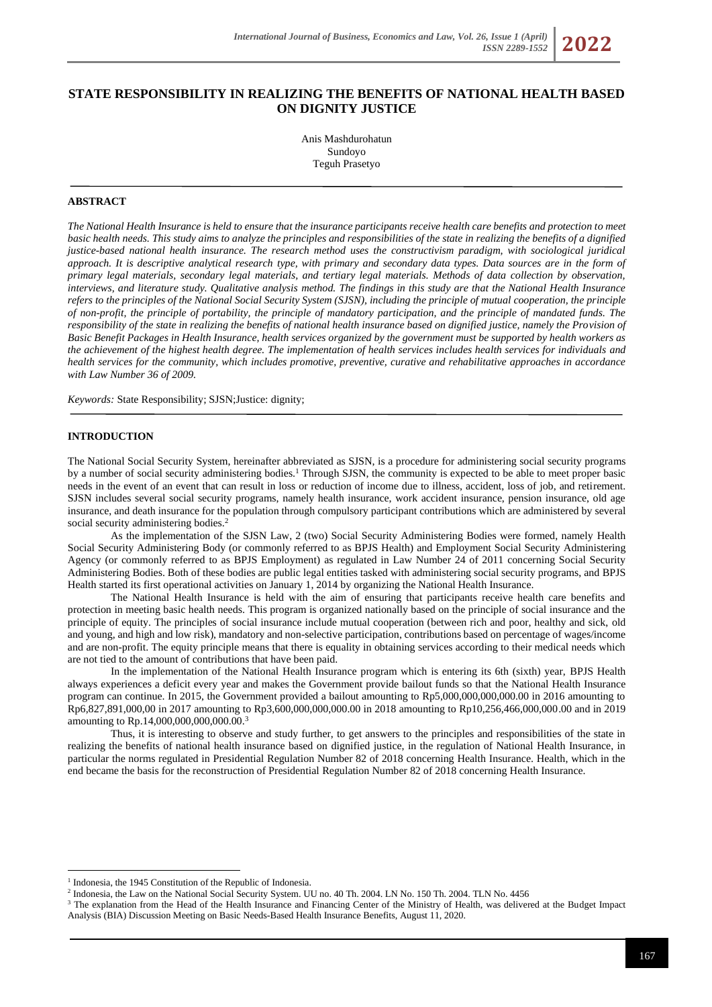# **STATE RESPONSIBILITY IN REALIZING THE BENEFITS OF NATIONAL HEALTH BASED ON DIGNITY JUSTICE**

Anis Mashdurohatun Sundoyo Teguh Prasetyo

# **ABSTRACT**

*The National Health Insurance is held to ensure that the insurance participants receive health care benefits and protection to meet basic health needs. This study aims to analyze the principles and responsibilities of the state in realizing the benefits of a dignified justice-based national health insurance. The research method uses the constructivism paradigm, with sociological juridical approach. It is descriptive analytical research type, with primary and secondary data types. Data sources are in the form of primary legal materials, secondary legal materials, and tertiary legal materials. Methods of data collection by observation, interviews, and literature study. Qualitative analysis method. The findings in this study are that the National Health Insurance refers to the principles of the National Social Security System (SJSN), including the principle of mutual cooperation, the principle of non-profit, the principle of portability, the principle of mandatory participation, and the principle of mandated funds. The responsibility of the state in realizing the benefits of national health insurance based on dignified justice, namely the Provision of Basic Benefit Packages in Health Insurance, health services organized by the government must be supported by health workers as the achievement of the highest health degree. The implementation of health services includes health services for individuals and health services for the community, which includes promotive, preventive, curative and rehabilitative approaches in accordance with Law Number 36 of 2009.*

*Keywords:* State Responsibility; SJSN;Justice: dignity;

#### **INTRODUCTION**

The National Social Security System, hereinafter abbreviated as SJSN, is a procedure for administering social security programs by a number of social security administering bodies.<sup>1</sup> Through SJSN, the community is expected to be able to meet proper basic needs in the event of an event that can result in loss or reduction of income due to illness, accident, loss of job, and retirement. SJSN includes several social security programs, namely health insurance, work accident insurance, pension insurance, old age insurance, and death insurance for the population through compulsory participant contributions which are administered by several social security administering bodies.<sup>2</sup>

As the implementation of the SJSN Law, 2 (two) Social Security Administering Bodies were formed, namely Health Social Security Administering Body (or commonly referred to as BPJS Health) and Employment Social Security Administering Agency (or commonly referred to as BPJS Employment) as regulated in Law Number 24 of 2011 concerning Social Security Administering Bodies. Both of these bodies are public legal entities tasked with administering social security programs, and BPJS Health started its first operational activities on January 1, 2014 by organizing the National Health Insurance.

The National Health Insurance is held with the aim of ensuring that participants receive health care benefits and protection in meeting basic health needs. This program is organized nationally based on the principle of social insurance and the principle of equity. The principles of social insurance include mutual cooperation (between rich and poor, healthy and sick, old and young, and high and low risk), mandatory and non-selective participation, contributions based on percentage of wages/income and are non-profit. The equity principle means that there is equality in obtaining services according to their medical needs which are not tied to the amount of contributions that have been paid.

In the implementation of the National Health Insurance program which is entering its 6th (sixth) year, BPJS Health always experiences a deficit every year and makes the Government provide bailout funds so that the National Health Insurance program can continue. In 2015, the Government provided a bailout amounting to Rp5,000,000,000,000.00 in 2016 amounting to Rp6,827,891,000,00 in 2017 amounting to Rp3,600,000,000,000.00 in 2018 amounting to Rp10,256,466,000,000.00 and in 2019 amounting to Rp.14,000,000,000,000.00.<sup>3</sup>

Thus, it is interesting to observe and study further, to get answers to the principles and responsibilities of the state in realizing the benefits of national health insurance based on dignified justice, in the regulation of National Health Insurance, in particular the norms regulated in Presidential Regulation Number 82 of 2018 concerning Health Insurance. Health, which in the end became the basis for the reconstruction of Presidential Regulation Number 82 of 2018 concerning Health Insurance.

<sup>&</sup>lt;sup>1</sup> Indonesia, the 1945 Constitution of the Republic of Indonesia.

<sup>&</sup>lt;sup>2</sup> Indonesia, the Law on the National Social Security System. UU no. 40 Th. 2004. LN No. 150 Th. 2004. TLN No. 4456

<sup>&</sup>lt;sup>3</sup> The explanation from the Head of the Health Insurance and Financing Center of the Ministry of Health, was delivered at the Budget Impact Analysis (BIA) Discussion Meeting on Basic Needs-Based Health Insurance Benefits, August 11, 2020.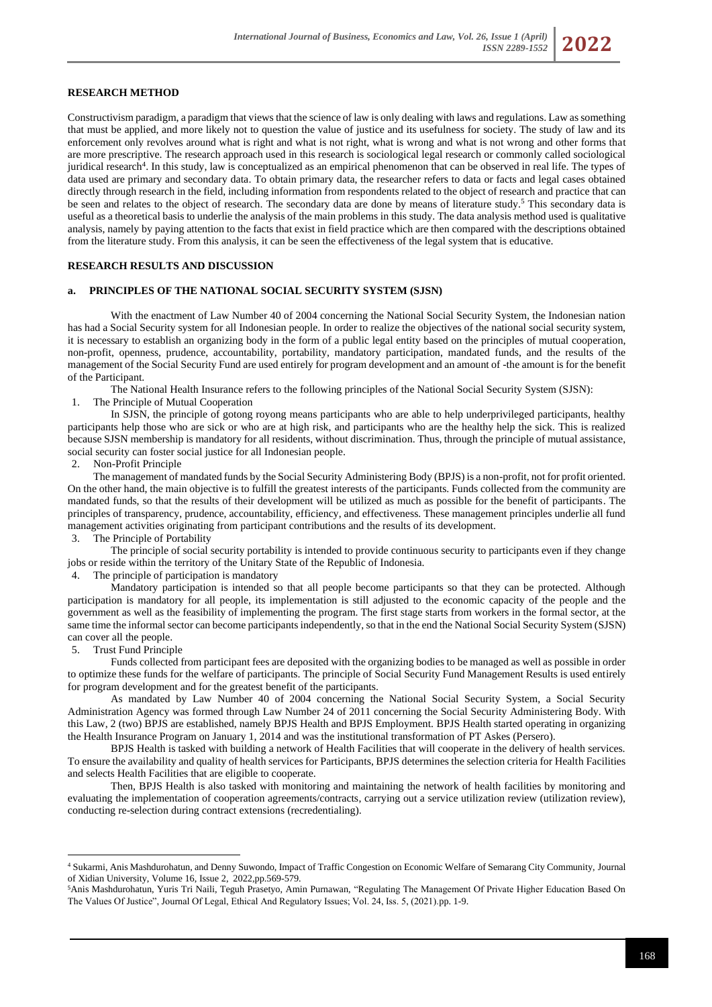# **RESEARCH METHOD**

Constructivism paradigm, a paradigm that views that the science of law is only dealing with laws and regulations. Law as something that must be applied, and more likely not to question the value of justice and its usefulness for society. The study of law and its enforcement only revolves around what is right and what is not right, what is wrong and what is not wrong and other forms that are more prescriptive. The research approach used in this research is sociological legal research or commonly called sociological juridical research<sup>4</sup>. In this study, law is conceptualized as an empirical phenomenon that can be observed in real life. The types of data used are primary and secondary data. To obtain primary data, the researcher refers to data or facts and legal cases obtained directly through research in the field, including information from respondents related to the object of research and practice that can be seen and relates to the object of research. The secondary data are done by means of literature study.<sup>5</sup> This secondary data is useful as a theoretical basis to underlie the analysis of the main problems in this study. The data analysis method used is qualitative analysis, namely by paying attention to the facts that exist in field practice which are then compared with the descriptions obtained from the literature study. From this analysis, it can be seen the effectiveness of the legal system that is educative.

### **RESEARCH RESULTS AND DISCUSSION**

#### **a. PRINCIPLES OF THE NATIONAL SOCIAL SECURITY SYSTEM (SJSN)**

With the enactment of Law Number 40 of 2004 concerning the National Social Security System, the Indonesian nation has had a Social Security system for all Indonesian people. In order to realize the objectives of the national social security system, it is necessary to establish an organizing body in the form of a public legal entity based on the principles of mutual cooperation, non-profit, openness, prudence, accountability, portability, mandatory participation, mandated funds, and the results of the management of the Social Security Fund are used entirely for program development and an amount of -the amount is for the benefit of the Participant.

The National Health Insurance refers to the following principles of the National Social Security System (SJSN):

1. The Principle of Mutual Cooperation

In SJSN, the principle of gotong royong means participants who are able to help underprivileged participants, healthy participants help those who are sick or who are at high risk, and participants who are the healthy help the sick. This is realized because SJSN membership is mandatory for all residents, without discrimination. Thus, through the principle of mutual assistance, social security can foster social justice for all Indonesian people.<br>2. Non-Profit Principle

Non-Profit Principle

The management of mandated funds by the Social Security Administering Body (BPJS) is a non-profit, not for profit oriented. On the other hand, the main objective is to fulfill the greatest interests of the participants. Funds collected from the community are mandated funds, so that the results of their development will be utilized as much as possible for the benefit of participants. The principles of transparency, prudence, accountability, efficiency, and effectiveness. These management principles underlie all fund management activities originating from participant contributions and the results of its development.

3. The Principle of Portability

The principle of social security portability is intended to provide continuous security to participants even if they change jobs or reside within the territory of the Unitary State of the Republic of Indonesia.

The principle of participation is mandatory

Mandatory participation is intended so that all people become participants so that they can be protected. Although participation is mandatory for all people, its implementation is still adjusted to the economic capacity of the people and the government as well as the feasibility of implementing the program. The first stage starts from workers in the formal sector, at the same time the informal sector can become participants independently, so that in the end the National Social Security System (SJSN) can cover all the people.

#### 5. Trust Fund Principle

Funds collected from participant fees are deposited with the organizing bodies to be managed as well as possible in order to optimize these funds for the welfare of participants. The principle of Social Security Fund Management Results is used entirely for program development and for the greatest benefit of the participants.

As mandated by Law Number 40 of 2004 concerning the National Social Security System, a Social Security Administration Agency was formed through Law Number 24 of 2011 concerning the Social Security Administering Body. With this Law, 2 (two) BPJS are established, namely BPJS Health and BPJS Employment. BPJS Health started operating in organizing the Health Insurance Program on January 1, 2014 and was the institutional transformation of PT Askes (Persero).

BPJS Health is tasked with building a network of Health Facilities that will cooperate in the delivery of health services. To ensure the availability and quality of health services for Participants, BPJS determines the selection criteria for Health Facilities and selects Health Facilities that are eligible to cooperate.

Then, BPJS Health is also tasked with monitoring and maintaining the network of health facilities by monitoring and evaluating the implementation of cooperation agreements/contracts, carrying out a service utilization review (utilization review), conducting re-selection during contract extensions (recredentialing).

<sup>4</sup> Sukarmi, Anis Mashdurohatun, and Denny Suwondo, Impact of Traffic Congestion on Economic Welfare of Semarang City Community, Journal of Xidian University, Volume 16, Issue 2, 2022,pp.569-579.

<sup>5</sup>Anis Mashdurohatun, Yuris Tri Naili, Teguh Prasetyo, Amin Purnawan, "Regulating The Management Of Private Higher Education Based On The Values Of Justice", Journal Of Legal, Ethical And Regulatory Issues; Vol. 24, Iss. 5, (2021).pp. 1-9.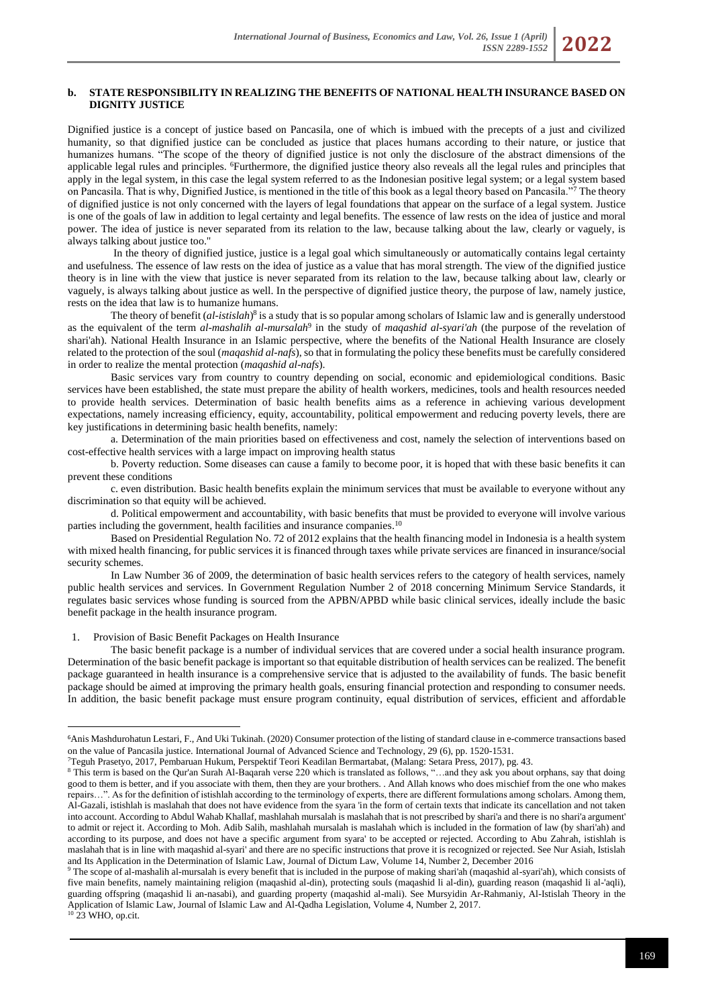Dignified justice is a concept of justice based on Pancasila, one of which is imbued with the precepts of a just and civilized humanity, so that dignified justice can be concluded as justice that places humans according to their nature, or justice that humanizes humans. "The scope of the theory of dignified justice is not only the disclosure of the abstract dimensions of the applicable legal rules and principles. <sup>6</sup>Furthermore, the dignified justice theory also reveals all the legal rules and principles that apply in the legal system, in this case the legal system referred to as the Indonesian positive legal system; or a legal system based on Pancasila. That is why, Dignified Justice, is mentioned in the title of this book as a legal theory based on Pancasila."<sup>7</sup> The theory of dignified justice is not only concerned with the layers of legal foundations that appear on the surface of a legal system. Justice is one of the goals of law in addition to legal certainty and legal benefits. The essence of law rests on the idea of justice and moral power. The idea of justice is never separated from its relation to the law, because talking about the law, clearly or vaguely, is always talking about justice too."

In the theory of dignified justice, justice is a legal goal which simultaneously or automatically contains legal certainty and usefulness. The essence of law rests on the idea of justice as a value that has moral strength. The view of the dignified justice theory is in line with the view that justice is never separated from its relation to the law, because talking about law, clearly or vaguely, is always talking about justice as well. In the perspective of dignified justice theory, the purpose of law, namely justice, rests on the idea that law is to humanize humans.

The theory of benefit (*al-istislah*)<sup>8</sup> is a study that is so popular among scholars of Islamic law and is generally understood as the equivalent of the term *al-mashalih al-mursalah*<sup>9</sup> in the study of *maqashid al-syari'ah* (the purpose of the revelation of shari'ah). National Health Insurance in an Islamic perspective, where the benefits of the National Health Insurance are closely related to the protection of the soul (*maqashid al-nafs*), so that in formulating the policy these benefits must be carefully considered in order to realize the mental protection (*maqashid al-nafs*).

Basic services vary from country to country depending on social, economic and epidemiological conditions. Basic services have been established, the state must prepare the ability of health workers, medicines, tools and health resources needed to provide health services. Determination of basic health benefits aims as a reference in achieving various development expectations, namely increasing efficiency, equity, accountability, political empowerment and reducing poverty levels, there are key justifications in determining basic health benefits, namely:

a. Determination of the main priorities based on effectiveness and cost, namely the selection of interventions based on cost-effective health services with a large impact on improving health status

b. Poverty reduction. Some diseases can cause a family to become poor, it is hoped that with these basic benefits it can prevent these conditions

c. even distribution. Basic health benefits explain the minimum services that must be available to everyone without any discrimination so that equity will be achieved.

d. Political empowerment and accountability, with basic benefits that must be provided to everyone will involve various parties including the government, health facilities and insurance companies.<sup>10</sup>

Based on Presidential Regulation No. 72 of 2012 explains that the health financing model in Indonesia is a health system with mixed health financing, for public services it is financed through taxes while private services are financed in insurance/social security schemes.

In Law Number 36 of 2009, the determination of basic health services refers to the category of health services, namely public health services and services. In Government Regulation Number 2 of 2018 concerning Minimum Service Standards, it regulates basic services whose funding is sourced from the APBN/APBD while basic clinical services, ideally include the basic benefit package in the health insurance program.

# 1. Provision of Basic Benefit Packages on Health Insurance

The basic benefit package is a number of individual services that are covered under a social health insurance program. Determination of the basic benefit package is important so that equitable distribution of health services can be realized. The benefit package guaranteed in health insurance is a comprehensive service that is adjusted to the availability of funds. The basic benefit package should be aimed at improving the primary health goals, ensuring financial protection and responding to consumer needs. In addition, the basic benefit package must ensure program continuity, equal distribution of services, efficient and affordable

<sup>6</sup>Anis Mashdurohatun Lestari, F., And Uki Tukinah. (2020) Consumer protection of the listing of standard clause in e-commerce transactions based on the value of Pancasila justice. International Journal of Advanced Science and Technology, 29 (6), pp. 1520-1531.

<sup>7</sup>Teguh Prasetyo, 2017, Pembaruan Hukum, Perspektif Teori Keadilan Bermartabat, (Malang: Setara Press, 2017), pg. 43.

<sup>8</sup> This term is based on the Qur'an Surah Al-Baqarah verse 220 which is translated as follows, "…and they ask you about orphans, say that doing good to them is better, and if you associate with them, then they are your brothers. . And Allah knows who does mischief from the one who makes repairs…". As for the definition of istishlah according to the terminology of experts, there are different formulations among scholars. Among them, Al-Gazali, istishlah is maslahah that does not have evidence from the syara 'in the form of certain texts that indicate its cancellation and not taken into account. According to Abdul Wahab Khallaf, mashlahah mursalah is maslahah that is not prescribed by shari'a and there is no shari'a argument' to admit or reject it. According to Moh. Adib Salih, mashlahah mursalah is maslahah which is included in the formation of law (by shari'ah) and according to its purpose, and does not have a specific argument from syara' to be accepted or rejected. According to Abu Zahrah, istishlah is maslahah that is in line with maqashid al-syari' and there are no specific instructions that prove it is recognized or rejected. See Nur Asiah, Istislah and Its Application in the Determination of Islamic Law, Journal of Dictum Law, Volume 14, Number 2, December 2016

<sup>9</sup> The scope of al-mashalih al-mursalah is every benefit that is included in the purpose of making shari'ah (maqashid al-syari'ah), which consists of five main benefits, namely maintaining religion (maqashid al-din), protecting souls (maqashid li al-din), guarding reason (maqashid li al-'aqli), guarding offspring (maqashid li an-nasabi), and guarding property (maqashid al-mali). See Mursyidin Ar-Rahmaniy, Al-Istislah Theory in the Application of Islamic Law, Journal of Islamic Law and Al-Qadha Legislation, Volume 4, Number 2, 2017. <sup>10</sup> 23 WHO, op.cit.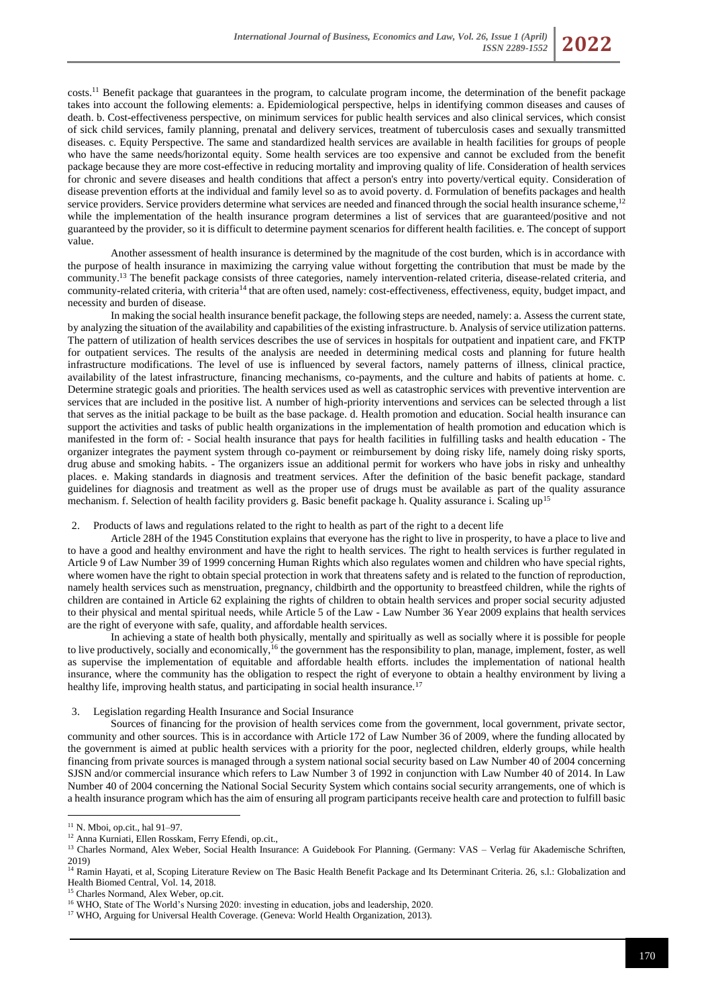costs.<sup>11</sup> Benefit package that guarantees in the program, to calculate program income, the determination of the benefit package takes into account the following elements: a. Epidemiological perspective, helps in identifying common diseases and causes of death. b. Cost-effectiveness perspective, on minimum services for public health services and also clinical services, which consist of sick child services, family planning, prenatal and delivery services, treatment of tuberculosis cases and sexually transmitted diseases. c. Equity Perspective. The same and standardized health services are available in health facilities for groups of people who have the same needs/horizontal equity. Some health services are too expensive and cannot be excluded from the benefit package because they are more cost-effective in reducing mortality and improving quality of life. Consideration of health services for chronic and severe diseases and health conditions that affect a person's entry into poverty/vertical equity. Consideration of disease prevention efforts at the individual and family level so as to avoid poverty. d. Formulation of benefits packages and health service providers. Service providers determine what services are needed and financed through the social health insurance scheme,<sup>12</sup> while the implementation of the health insurance program determines a list of services that are guaranteed/positive and not guaranteed by the provider, so it is difficult to determine payment scenarios for different health facilities. e. The concept of support value.

Another assessment of health insurance is determined by the magnitude of the cost burden, which is in accordance with the purpose of health insurance in maximizing the carrying value without forgetting the contribution that must be made by the community.<sup>13</sup> The benefit package consists of three categories, namely intervention-related criteria, disease-related criteria, and community-related criteria, with criteria<sup>14</sup> that are often used, namely: cost-effectiveness, effectiveness, equity, budget impact, and necessity and burden of disease.

In making the social health insurance benefit package, the following steps are needed, namely: a. Assess the current state, by analyzing the situation of the availability and capabilities of the existing infrastructure. b. Analysis of service utilization patterns. The pattern of utilization of health services describes the use of services in hospitals for outpatient and inpatient care, and FKTP for outpatient services. The results of the analysis are needed in determining medical costs and planning for future health infrastructure modifications. The level of use is influenced by several factors, namely patterns of illness, clinical practice, availability of the latest infrastructure, financing mechanisms, co-payments, and the culture and habits of patients at home. c. Determine strategic goals and priorities. The health services used as well as catastrophic services with preventive intervention are services that are included in the positive list. A number of high-priority interventions and services can be selected through a list that serves as the initial package to be built as the base package. d. Health promotion and education. Social health insurance can support the activities and tasks of public health organizations in the implementation of health promotion and education which is manifested in the form of: - Social health insurance that pays for health facilities in fulfilling tasks and health education - The organizer integrates the payment system through co-payment or reimbursement by doing risky life, namely doing risky sports, drug abuse and smoking habits. - The organizers issue an additional permit for workers who have jobs in risky and unhealthy places. e. Making standards in diagnosis and treatment services. After the definition of the basic benefit package, standard guidelines for diagnosis and treatment as well as the proper use of drugs must be available as part of the quality assurance mechanism. f. Selection of health facility providers g. Basic benefit package h. Quality assurance i. Scaling up<sup>15</sup>

#### 2. Products of laws and regulations related to the right to health as part of the right to a decent life

Article 28H of the 1945 Constitution explains that everyone has the right to live in prosperity, to have a place to live and to have a good and healthy environment and have the right to health services. The right to health services is further regulated in Article 9 of Law Number 39 of 1999 concerning Human Rights which also regulates women and children who have special rights, where women have the right to obtain special protection in work that threatens safety and is related to the function of reproduction, namely health services such as menstruation, pregnancy, childbirth and the opportunity to breastfeed children, while the rights of children are contained in Article 62 explaining the rights of children to obtain health services and proper social security adjusted to their physical and mental spiritual needs, while Article 5 of the Law - Law Number 36 Year 2009 explains that health services are the right of everyone with safe, quality, and affordable health services.

In achieving a state of health both physically, mentally and spiritually as well as socially where it is possible for people to live productively, socially and economically,<sup>16</sup> the government has the responsibility to plan, manage, implement, foster, as well as supervise the implementation of equitable and affordable health efforts. includes the implementation of national health insurance, where the community has the obligation to respect the right of everyone to obtain a healthy environment by living a healthy life, improving health status, and participating in social health insurance.<sup>17</sup>

### 3. Legislation regarding Health Insurance and Social Insurance

Sources of financing for the provision of health services come from the government, local government, private sector, community and other sources. This is in accordance with Article 172 of Law Number 36 of 2009, where the funding allocated by the government is aimed at public health services with a priority for the poor, neglected children, elderly groups, while health financing from private sources is managed through a system national social security based on Law Number 40 of 2004 concerning SJSN and/or commercial insurance which refers to Law Number 3 of 1992 in conjunction with Law Number 40 of 2014. In Law Number 40 of 2004 concerning the National Social Security System which contains social security arrangements, one of which is a health insurance program which has the aim of ensuring all program participants receive health care and protection to fulfill basic

<sup>11</sup> N. Mboi, op.cit., hal 91–97.

<sup>12</sup> Anna Kurniati, Ellen Rosskam, Ferry Efendi, op.cit.,

<sup>13</sup> Charles Normand, Alex Weber, Social Health Insurance: A Guidebook For Planning. (Germany: VAS – Verlag für Akademische Schriften, 2019)

<sup>&</sup>lt;sup>14</sup> Ramin Hayati, et al, Scoping Literature Review on The Basic Health Benefit Package and Its Determinant Criteria. 26, s.l.: Globalization and Health Biomed Central, Vol. 14, 2018.

<sup>&</sup>lt;sup>15</sup> Charles Normand, Alex Weber, op.cit.

<sup>&</sup>lt;sup>16</sup> WHO, State of The World's Nursing 2020: investing in education, jobs and leadership, 2020.

<sup>&</sup>lt;sup>17</sup> WHO, Arguing for Universal Health Coverage. (Geneva: World Health Organization, 2013).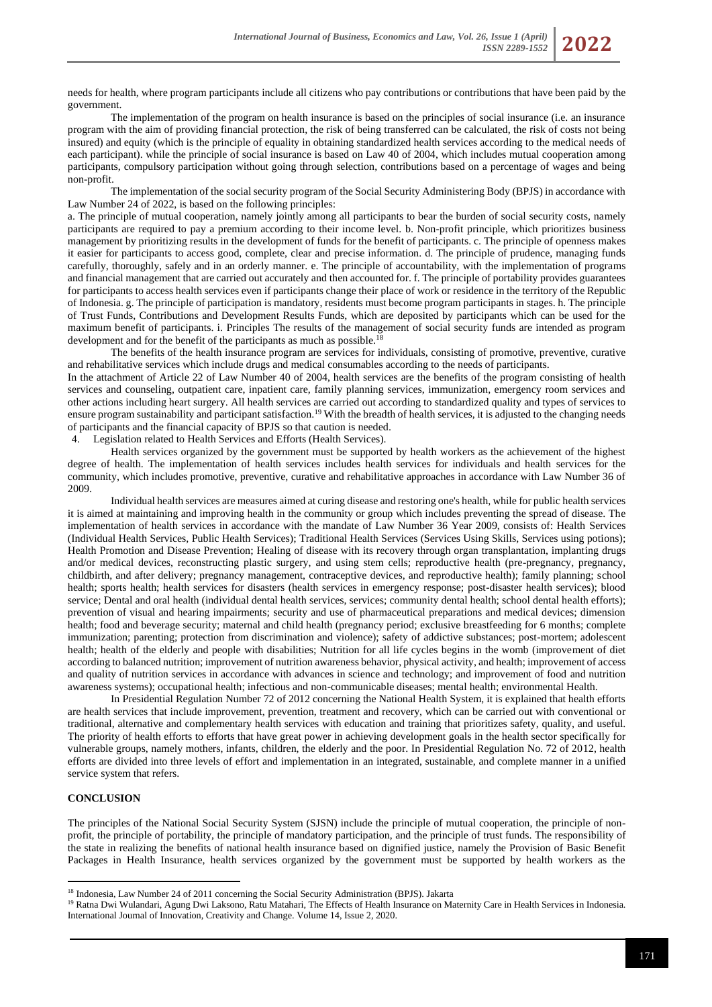needs for health, where program participants include all citizens who pay contributions or contributions that have been paid by the government.

The implementation of the program on health insurance is based on the principles of social insurance (i.e. an insurance program with the aim of providing financial protection, the risk of being transferred can be calculated, the risk of costs not being insured) and equity (which is the principle of equality in obtaining standardized health services according to the medical needs of each participant). while the principle of social insurance is based on Law 40 of 2004, which includes mutual cooperation among participants, compulsory participation without going through selection, contributions based on a percentage of wages and being non-profit.

The implementation of the social security program of the Social Security Administering Body (BPJS) in accordance with Law Number 24 of 2022, is based on the following principles:

a. The principle of mutual cooperation, namely jointly among all participants to bear the burden of social security costs, namely participants are required to pay a premium according to their income level. b. Non-profit principle, which prioritizes business management by prioritizing results in the development of funds for the benefit of participants. c. The principle of openness makes it easier for participants to access good, complete, clear and precise information. d. The principle of prudence, managing funds carefully, thoroughly, safely and in an orderly manner. e. The principle of accountability, with the implementation of programs and financial management that are carried out accurately and then accounted for. f. The principle of portability provides guarantees for participants to access health services even if participants change their place of work or residence in the territory of the Republic of Indonesia. g. The principle of participation is mandatory, residents must become program participants in stages. h. The principle of Trust Funds, Contributions and Development Results Funds, which are deposited by participants which can be used for the maximum benefit of participants. i. Principles The results of the management of social security funds are intended as program development and for the benefit of the participants as much as possible.<sup>18</sup>

The benefits of the health insurance program are services for individuals, consisting of promotive, preventive, curative and rehabilitative services which include drugs and medical consumables according to the needs of participants.

In the attachment of Article 22 of Law Number 40 of 2004, health services are the benefits of the program consisting of health services and counseling, outpatient care, inpatient care, family planning services, immunization, emergency room services and other actions including heart surgery. All health services are carried out according to standardized quality and types of services to ensure program sustainability and participant satisfaction.<sup>19</sup> With the breadth of health services, it is adjusted to the changing needs of participants and the financial capacity of BPJS so that caution is needed.

4. Legislation related to Health Services and Efforts (Health Services).

Health services organized by the government must be supported by health workers as the achievement of the highest degree of health. The implementation of health services includes health services for individuals and health services for the community, which includes promotive, preventive, curative and rehabilitative approaches in accordance with Law Number 36 of 2009.

Individual health services are measures aimed at curing disease and restoring one's health, while for public health services it is aimed at maintaining and improving health in the community or group which includes preventing the spread of disease. The implementation of health services in accordance with the mandate of Law Number 36 Year 2009, consists of: Health Services (Individual Health Services, Public Health Services); Traditional Health Services (Services Using Skills, Services using potions); Health Promotion and Disease Prevention; Healing of disease with its recovery through organ transplantation, implanting drugs and/or medical devices, reconstructing plastic surgery, and using stem cells; reproductive health (pre-pregnancy, pregnancy, childbirth, and after delivery; pregnancy management, contraceptive devices, and reproductive health); family planning; school health; sports health; health services for disasters (health services in emergency response; post-disaster health services); blood service; Dental and oral health (individual dental health services, services; community dental health; school dental health efforts); prevention of visual and hearing impairments; security and use of pharmaceutical preparations and medical devices; dimension health; food and beverage security; maternal and child health (pregnancy period; exclusive breastfeeding for 6 months; complete immunization; parenting; protection from discrimination and violence); safety of addictive substances; post-mortem; adolescent health; health of the elderly and people with disabilities; Nutrition for all life cycles begins in the womb (improvement of diet according to balanced nutrition; improvement of nutrition awareness behavior, physical activity, and health; improvement of access and quality of nutrition services in accordance with advances in science and technology; and improvement of food and nutrition awareness systems); occupational health; infectious and non-communicable diseases; mental health; environmental Health.

In Presidential Regulation Number 72 of 2012 concerning the National Health System, it is explained that health efforts are health services that include improvement, prevention, treatment and recovery, which can be carried out with conventional or traditional, alternative and complementary health services with education and training that prioritizes safety, quality, and useful. The priority of health efforts to efforts that have great power in achieving development goals in the health sector specifically for vulnerable groups, namely mothers, infants, children, the elderly and the poor. In Presidential Regulation No. 72 of 2012, health efforts are divided into three levels of effort and implementation in an integrated, sustainable, and complete manner in a unified service system that refers.

# **CONCLUSION**

The principles of the National Social Security System (SJSN) include the principle of mutual cooperation, the principle of nonprofit, the principle of portability, the principle of mandatory participation, and the principle of trust funds. The responsibility of the state in realizing the benefits of national health insurance based on dignified justice, namely the Provision of Basic Benefit Packages in Health Insurance, health services organized by the government must be supported by health workers as the

<sup>&</sup>lt;sup>18</sup> Indonesia, Law Number 24 of 2011 concerning the Social Security Administration (BPJS). Jakarta

<sup>&</sup>lt;sup>19</sup> Ratna Dwi Wulandari, Agung Dwi Laksono, Ratu Matahari, The Effects of Health Insurance on Maternity Care in Health Services in Indonesia. International Journal of Innovation, Creativity and Change. Volume 14, Issue 2, 2020.